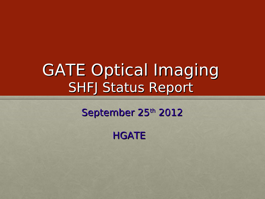# GATE Optical Imaging SHFJ Status Report

### September 25th 2012

**HGATE**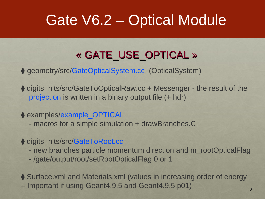## Gate V6.2 – Optical Module

### « GATE USE OPTICAL »

♦ geometry/src/GateOpticalSystem.cc (OpticalSystem)

♦ digits hits/src/GateToOpticalRaw.cc + Messenger - the result of the projection is written in a binary output file (+ hdr)

◆ examples/example\_OPTICAL

- macros for a simple simulation + drawBranches.C

♦ digits\_hits/src/GateToRoot.cc

- new branches particle momentum direction and m\_rootOpticalFlag
- /gate/output/root/setRootOpticalFlag 0 or 1

♦ Surface.xml and Materials.xml (values in increasing order of energy – Important if using Geant4.9.5 and Geant4.9.5.p01)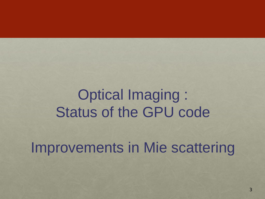## Optical Imaging : Status of the GPU code

Improvements in Mie scattering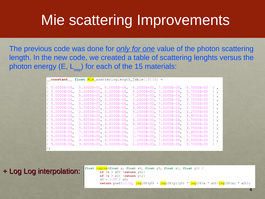### Mie scattering Improvements

The previous code was done for *only for one* value of the photon scattering length. In the new code, we created a table of scattering lenghts versus the photon energy  $(E, L_{min})$  for each of the 15 materials:

|                   | _constant__ float <u>Mie_</u> scatteringlength_Table[15][6] = |                         |                            |            |                 |
|-------------------|---------------------------------------------------------------|-------------------------|----------------------------|------------|-----------------|
|                   |                                                               |                         |                            |            |                 |
| $5.0000E - 06$    | 5.3000E+00, 6.0000E-06,                                       |                         | $6.2000E+00$ , 7.0000E-06. | 6.7000E+00 | $\cdot$         |
| $5.0000E-06$      | $5.3000E+00.6.0000E-06.$                                      |                         | 6.2000E+00, 7.0000E-06.    | 6.7000E+00 | $\cdot$         |
| $5.0000E-06$      | 6.3000E+00, 6.0000E-06,                                       |                         | 7.2000E+00, 7.0000E-06,    | 7.7000E+00 | $\cdot$         |
| $15.0000E - 06$   | 2.3000E+00, 6.0000E-06,                                       |                         | $3.2000E+00$ , 7.0000E-06. | 4.7000E+00 | $\cdot$         |
| $15.0000E - 06$   | $8.3000E+00.6.0000E-06.$                                      |                         | 4.2000E+00, 7.0000E-06.    | 3.7000E+00 | $\cdot$ .       |
| $5.0000E - 06$    | 5.7000E+00 6.0000E-06.                                        |                         | 6.9000E+00, 7.0000E-06,    | 6.7000E+00 | $\}$ .          |
| $1.5.0000E - 06.$ | 2.3000E+00 6.0000E-06                                         |                         | $8.2000E+00$ , 7.0000E-06. | 6.2000E+00 | $\mathcal{L}$   |
| $1.5.0000E - 06.$ | $1.3000E+00.6.0000E-06.$                                      |                         | 1.5000E+00. 7.0000E-06.    | 4.9000E+00 | $\mathcal{L}$   |
| $5.0000E - 06$    | $5.8000E+00.6.0000E-06.$                                      |                         | 4.2000E+00. 7.0000E-06.    | 6.7000E+00 | $\cdot$ .       |
| $5.0000E-06$      | 2.3000E+00 6.0000E-06                                         |                         | $6.9000E+00$ , 7.0000E-06. | 6.0000E+00 | $\cdot$ .       |
| $1.5.0000E - 06.$ | $5.3000E+00.6.0000E-06.$                                      |                         | $1.2000E+00.7.0000E-06.$   | 4.7000E+00 | $\mathcal{L}$   |
| $5.0000E-06$      | 7.3000E+00. 6.0000E-06.                                       |                         | $3.7000E+00.7.0000E-06.$   | 2.9000E+00 | $\cdot$ .       |
| $5.0000E-06$      | $1.3000E+00$ , $6.0000E-06$ ,                                 |                         | 3.7000E+00, 7.0000E-06.    | 1.7000E+00 | Η.              |
| $1.5.0000E - 06.$ | $9.3000E+00$ , $6.0000E-06$ ,                                 |                         | 1.2000E+00, 7.0000E-06.    | 6.5000E+00 | $\mathcal{F}$ . |
| $5.0000E-06$      | $3.3000E+00.6.0000E-06.$                                      | 2.2000E+00. 7.0000E-06. |                            | 8.7000E+00 | - 1             |
|                   |                                                               |                         |                            |            |                 |

+ Log Log interpolation:

float loglog(float x, float x0, float y0, float x1, float y1) { if  $(x < x0)$  {return  $y0;$ } if  $(x > x1)$  {return  $y1;$ }  $x0 = 1.0f / x0;$ **return** powf(10.0f,  $log10f(y0) + log10f(y1/y0) * log10f(x * x0)/log10f(x1 * x0));$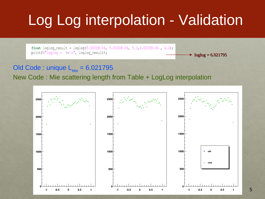# Log Log interpolation - Validation

float loglog\_result =  $loglog(5.8000E-06, 5.0000E-06, 5.3, 6.0000E-06, 6.2)$ ; printf("loglog =  $\aleph e \nightharpoonup n$ ", loglog result);

 $\rightarrow$  loglog = 6.021795

#### Old Code : unique  $L_{Mie} = 6.021795$

#### New Code : Mie scattering length from Table + LogLog interpolation

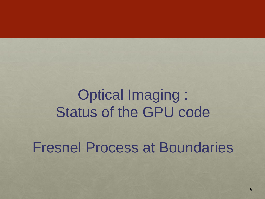## Optical Imaging : Status of the GPU code

Fresnel Process at Boundaries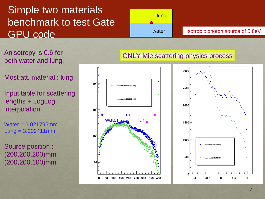### Simple two materials benchmark to test Gate GPU code



Isotropic photon source of 5.8eV

Anisotropy is 0.6 for both water and lung.

Most att. material : lung

Input table for scattering lengths + LogLog interpolation :

Water = 6.021795mm  $Lung = 3.009411mm$ 

Source position : (200,200,200)mm (200,200,100)mm



#### ONLY Mie scattering physics process

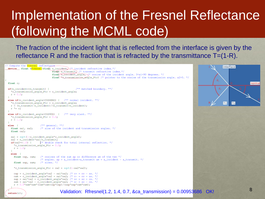### Implementation of the Fresnel Reflectance (following the MCML code)

The fraction of the incident light that is reflected from the interface is given by the reflectance R and the fraction that is refracted by the transmittance T=(1-R).

```
// Compute the Fresnel reflectance-
 device float RFresnel (float n incident 2.4% incident refractive index.*/
                                  float n_transmit, /* transmit refractive index.*/
                                  float "8" incident_angle, \/* cosine of the incident angle. 0<a1<90 degrees. */
                                  float *e-transmission-angle Ptr) /* pointer to the cosine of the transmission angle. a2>0. */
 float r;
                                                    /** matched boundary. **/
 if(n \text{ incident} == n \text{ transmit})*c_transmission_angle_Ptr = c_incident_angle;
   r = 0.0;else if (c incident angle>COSZERO) { /** normal incident. **/
    *c_transmission_angle_Ptr = c_incident_angle;
   r = (n_ttransmit-n_incident)/(n_ttransmit+n_incident);r * = r;else if (c_iincident_angle<COS90D) { /** very slant. **/
   *c_transmission_angle_Ptr = 0.0;
   r = 1.0;else\frac{1}{2} /** qeneral. **/
                       /* sine of the incident and transmission angles. */
   float sal, sa2;
   float ca2:
   sal = sqrt(1-c_incident_angle*c_incident_angle);
   sa2 = n incident *sal/n_transmit;
   if(sa2>=1.0) { \frac{1}{2} /* double check for total internal reflection. */
      *c transmission angle Ptr = 0.0.
     r = 1.0;else
     float cap, cam;
                       /* cosines of the sum ap or difference am of the two *//* angles. ap = a_incident+a_transmit am = a_incident - a_transmit. */
     float sap, sam; /* sines. */
      *c_transmission_angle_Ptr = ca2 = sqrt(1-sa2*sa2);
      cap = c_incident_angle*ca2 - sal*sa2; /* c+ = cc - ss. */
     cam = c_incident_angle*ca2 + sal*sa2; /* c- = cc + ss. */
     \text{sap} = \text{sal} * \text{ca2} + \text{c}_\text{incident\_angle} * \text{sa2}; /* \text{s+} = \text{sc} + \text{cs}. */
      \text{sam} = \text{sal} \cdot \text{ca2} - \text{c incident angle} \cdot \text{sa2}; /* s- = sc - cs. */
      r = 0.5*sam*sam*(cam*cam+cap*cap)/(sap*sap*cam*cam);
```
 $return(r);$ 



```
Validation: Rfresnel(1.2, 1.4, 0.7, &ca_transmission) = 0.00953686 OK!
```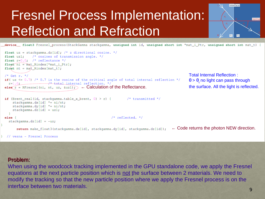## Fresnel Process Implementation: Reflection and Refraction



device float3 Fresnel process (StackGamma stackgamma, unsigned int id, unsigned short int \*mat i Ptr, unsigned short int mat t) {

```
float uz = stackgamma.dz[id]; /* z directional cosine. */
float uzl; \frac{1}{x} cosines of transmission angle. */
float r=0.0; /* reflectance */
float ni = mat Rindex [*mat_i_Ptr];
float nt = mat Rindex [mat t];
                                                                                                   Total Internal Reflection : 
/* Get r. */if (uz <= 0.7) /* 0.7 is the cosine of the critical angle of total internal reflection */
                                                                                                    \theta > \theta_c no light can pass through
r=1.0. r=1.0 r=1.0 r=0.0 r=0.0 r=0.0 r=0.0 r=0.0 r=0.0 r=0.0 r=0.0 r=0.0 r=0.0 r=0.0 r=0.0 r=0.0 r=0.0 r=0.0 r=0.0 r=0.0 r=0.0 r=0.0 r=0.0 r=0.0 r=0.0 r=0.0 r=0.0 r=if (Brent_real(id, stackgamma.table_x_brent, 0) > r) { /* transmitted */
    stackgamma.dx[id] *= ni/nt;stackgamma.dy[id] * = ni/nt;stackgamma.dz[id] = uz1;/* reflected. */
elsestackgamma.dzid] = -uz;\leftarrow Code returns the photon NEW direction.
      return make_float3(stackgamma.dx[id], stackgamma.dy[id], stackgamma.dz[id]);
// vesna - Fresnel Process
```
#### Problem:

When using the woodcock tracking implemented in the GPU standalone code, we apply the Fresnel equations at the next particle position which is not the surface between 2 materials. We need to modify the tracking so that the new particle position where we apply the Fresnel process is on the interface between two materials.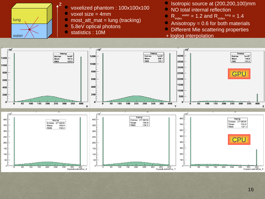

- voxelized phantom : 100x100x100
- voxel size = 4mm
- most  $att$  mat = lung (tracking)
- 5.8eV optical photons
- statistics : 10M
- Isotropic source at (200,200,100)mm
- NO total internal reflection
- $R_{index}^{water} = 1.2$  and  $R_{index}^{lung} = 1.4$
- Anisotropy = 0.6 for both materials
- Different Mie scattering properties
- + loglog interpolation

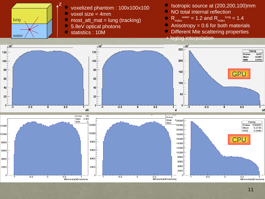

- voxelized phantom : 100x100x100
- voxel size = 4mm
- most  $att$  mat = lung (tracking)
- 5.8eV optical photons
- statistics : 10M
- Isotropic source at (200,200,100)mm
- NO total internal reflection

•  $R_{index}^{water} = 1.2$  and  $R_{index}^{lung} = 1.4$ 

- Anisotropy = 0.6 for both materials
- Different Mie scattering properties
- + loglog interpolation